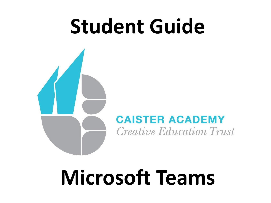# **Student Guide**

### **CAISTER ACADEMY** *Creative Education Trust*

# **Microsoft Teams**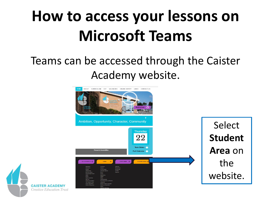# **How to access your lessons on Microsoft Teams**

## Teams can be accessed through the Caister Academy website.



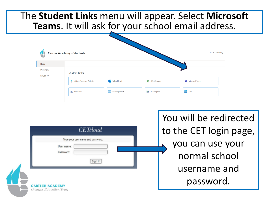### The **Student Links** menu will appear. Select **Microsoft Teams**. It will ask for your school email address.

| ☆ Not following<br>Caister Academy - Students<br>4 |                              |                       |              |                    |  |
|----------------------------------------------------|------------------------------|-----------------------|--------------|--------------------|--|
| Home                                               |                              |                       |              |                    |  |
| Documents<br>Recycle bin                           | <b>Student Links</b>         |                       |              |                    |  |
|                                                    | Caister Academy Website<br>G | <b>D</b> School Email | CO 4 Schools | Microsoft Teams    |  |
|                                                    | <b>ConeDrive</b>             | Reading Cloud         | Reading Pro  | <b>Coupe Lexia</b> |  |

|                                                           | You will be redirected |
|-----------------------------------------------------------|------------------------|
| <b>CETcloud</b>                                           | to the CET login page, |
| Type your user name and password.<br>User name:           | you can use your       |
| Password:<br>Sign In                                      | normal school          |
|                                                           | username and           |
| <b>CAISTER ACADEMY</b><br><i>Creative Education Trust</i> | password.              |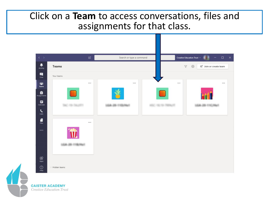#### Click on a **Team** to access conversations, files and assignments for that class.



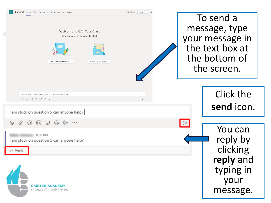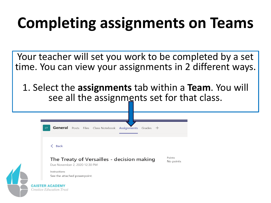## **Completing assignments on Teams**

Your teacher will set you work to be completed by a set time. You can view your assignments in 2 different ways.

1. Select the **assignments** tab within a **Team**. You will see all the assignments set for that class.

| <b>CT</b>                                                                   |                              | General Posts Files Class Notebook Assignments Grades + |        |           |
|-----------------------------------------------------------------------------|------------------------------|---------------------------------------------------------|--------|-----------|
| <b>Back</b><br>←                                                            |                              |                                                         |        |           |
| The Treaty of Versailles - decision making<br>Due November 2, 2020 12:30 PM |                              |                                                         | Points |           |
|                                                                             |                              |                                                         |        | No points |
| Instructions                                                                | See the attached powerpoint. |                                                         |        |           |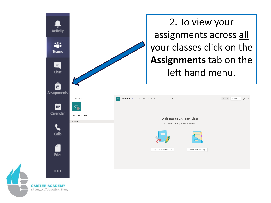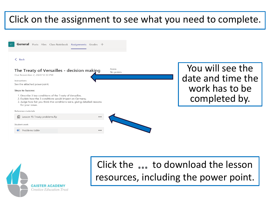### Click on the assignment to see what you need to complete.





## Click the ... to download the lesson resources, including the power point.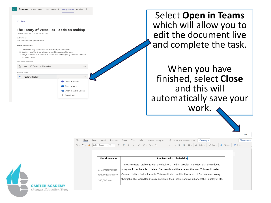#### $\langle$  Back

#### The Treaty of Versailles - decision making

Due November 2, 2020 12:30 PM

E Lesson 15 Treaty problems.flp

Instructions See the attached powerpoint.

#### Steps to Success:

- 1. Describe 3 key conditions of the Treaty of Versailles.
- 2. Explain how the 3 conditions would impact on Germany.
- 3. Judge how fair you think the conditions were, giving detailed reasons for your views.

 $\cdots$ 

**D**i Open in Teams **M** Open in Word **v** Open in Word Online  $\downarrow$  Download

Reference materials

#### Student work

 $\blacksquare$  Problems table S

Select **Open in Teams**  which will allow you to edit the document live and complete the task.

When you have finished, select **Close**  and this will automatically save your work.

|              |                                |                                                                                                                                                                                                                                                                                                                                                                                                                                                                                                                                                                              |  | Close    |
|--------------|--------------------------------|------------------------------------------------------------------------------------------------------------------------------------------------------------------------------------------------------------------------------------------------------------------------------------------------------------------------------------------------------------------------------------------------------------------------------------------------------------------------------------------------------------------------------------------------------------------------------|--|----------|
| File<br>Home | References<br>Insert<br>Layout | Review<br>Help<br>View<br>$\mathscr{D}$ Editina $\vee$<br>$\Omega$ Tell me what you want to do<br>Open in Desktop App                                                                                                                                                                                                                                                                                                                                                                                                                                                        |  | Comments |
| りゃ 門ゃ ず      |                                | $\overline{\text{Calibri}(\text{Body})} \quad \overline{\text{V}} \quad \text{11 } \quad \overline{\text{V}} \quad \text{A}^{\circ} \quad \text{A}^{\circ} \quad \text{B} \quad \text{I} \quad \underline{\text{U}} \quad \underline{\text{V}} \quad \underline{\text{V}} \quad \underline{\text{A}} \quad \text{V} \quad \underline{\text{A}} \quad \text{V} \quad \text{A}^{\circ} \quad \cdots \quad \overline{\text{I}} \equiv \text{V} \quad \overline{\text{I}} \equiv \overline{\text{I}} \quad \overline{\text{I}} \equiv \overline{\text{I}} \quad \overline{\text$ |  |          |
|              |                                |                                                                                                                                                                                                                                                                                                                                                                                                                                                                                                                                                                              |  |          |
|              |                                |                                                                                                                                                                                                                                                                                                                                                                                                                                                                                                                                                                              |  |          |
|              | <b>Decision made</b>           | <b>Problems with this decision</b>                                                                                                                                                                                                                                                                                                                                                                                                                                                                                                                                           |  |          |
|              |                                | There are several problems with the decision. The first problem is the fact that the reduced                                                                                                                                                                                                                                                                                                                                                                                                                                                                                 |  |          |
|              | 1. Germany must                | army would not be able to defend German should there be another war. This would make                                                                                                                                                                                                                                                                                                                                                                                                                                                                                         |  |          |
|              | reduce its army to             | German civilians feel vulnerable. This would also result in thousands of German men losing                                                                                                                                                                                                                                                                                                                                                                                                                                                                                   |  |          |
|              | 100,000 men.                   | their jobs. This would lead to a reduction in their income and would affect their quality of life.                                                                                                                                                                                                                                                                                                                                                                                                                                                                           |  |          |

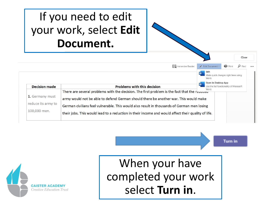## If you need to edit your work, select **Edit Document.**

|                                                       | <b>I</b> Immersive Reader                                                                                                                                                                                                                                                                                                                                                                         | / Edit Document *                                                                | e Print | $\mathbf{p}$ Find |  |  |
|-------------------------------------------------------|---------------------------------------------------------------------------------------------------------------------------------------------------------------------------------------------------------------------------------------------------------------------------------------------------------------------------------------------------------------------------------------------------|----------------------------------------------------------------------------------|---------|-------------------|--|--|
|                                                       |                                                                                                                                                                                                                                                                                                                                                                                                   | Edit<br>W<br>Make quick changes right here using<br>Word.<br>Open in Desktop App |         |                   |  |  |
| <b>Decision made</b>                                  | <b>Problems with this decision</b>                                                                                                                                                                                                                                                                                                                                                                | W<br>Use the full functionality of Microsoft                                     |         |                   |  |  |
| 1. Germany must<br>reduce its army to<br>100,000 men. | Word.<br>There are several problems with the decision. The first problem is the fact that the requeed<br>army would not be able to defend German should there be another war. This would make<br>German civilians feel vulnerable. This would also result in thousands of German men losing<br>their jobs. This would lead to a reduction in their income and would affect their quality of life. |                                                                                  |         |                   |  |  |

**Turn in** 

Close



When your have completed your work select **Turn in**.